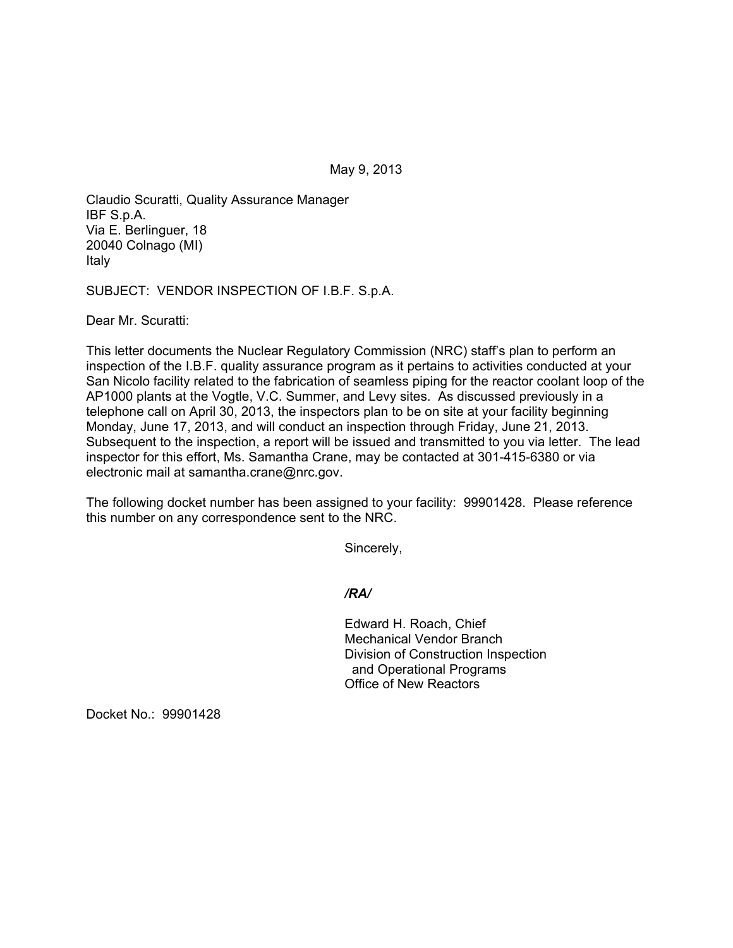May 9, 2013

Claudio Scuratti, Quality Assurance Manager IBF S.p.A. Via E. Berlinguer, 18 20040 Colnago (MI) Italy

SUBJECT: VENDOR INSPECTION OF I.B.F. S.p.A.

Dear Mr. Scuratti:

This letter documents the Nuclear Regulatory Commission (NRC) staff's plan to perform an inspection of the I.B.F. quality assurance program as it pertains to activities conducted at your San Nicolo facility related to the fabrication of seamless piping for the reactor coolant loop of the AP1000 plants at the Vogtle, V.C. Summer, and Levy sites. As discussed previously in a telephone call on April 30, 2013, the inspectors plan to be on site at your facility beginning Monday, June 17, 2013, and will conduct an inspection through Friday, June 21, 2013. Subsequent to the inspection, a report will be issued and transmitted to you via letter. The lead inspector for this effort, Ms. Samantha Crane, may be contacted at 301-415-6380 or via electronic mail at samantha.crane@nrc.gov.

The following docket number has been assigned to your facility: 99901428. Please reference this number on any correspondence sent to the NRC.

Sincerely,

*/RA/* 

Edward H. Roach, Chief Mechanical Vendor Branch Division of Construction Inspection and Operational Programs Office of New Reactors

Docket No.: 99901428